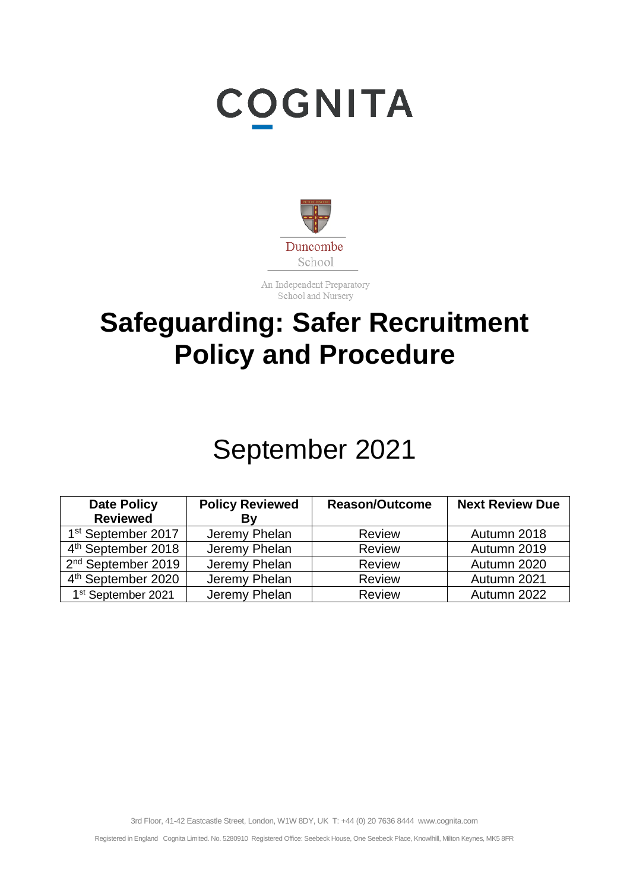# **COGNITA**



An Independent Preparatory School and Nursery

# **Safeguarding: Safer Recruitment Policy and Procedure**

# September 2021

| <b>Date Policy</b>             | <b>Policy Reviewed</b> | <b>Reason/Outcome</b> | <b>Next Review Due</b> |
|--------------------------------|------------------------|-----------------------|------------------------|
| <b>Reviewed</b>                | Βv                     |                       |                        |
| 1 <sup>st</sup> September 2017 | Jeremy Phelan          | <b>Review</b>         | Autumn 2018            |
| 4 <sup>th</sup> September 2018 | Jeremy Phelan          | <b>Review</b>         | Autumn 2019            |
| 2 <sup>nd</sup> September 2019 | Jeremy Phelan          | <b>Review</b>         | Autumn 2020            |
| 4 <sup>th</sup> September 2020 | Jeremy Phelan          | <b>Review</b>         | Autumn 2021            |
| 1 <sup>st</sup> September 2021 | Jeremy Phelan          | <b>Review</b>         | Autumn 2022            |

3rd Floor, 41-42 Eastcastle Street, London, W1W 8DY, UK T: +44 (0) 20 7636 8444 www.cognita.com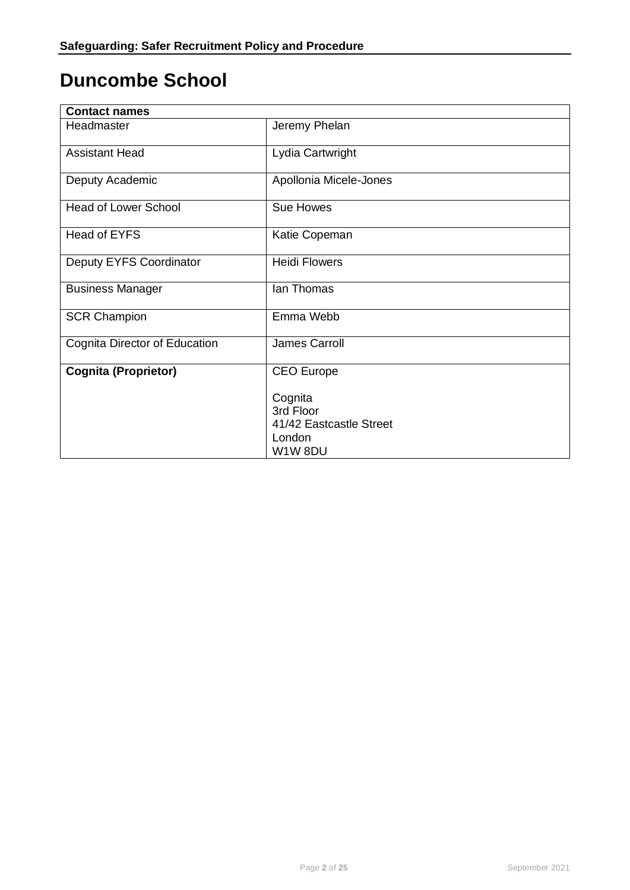# **Duncombe School**

| <b>Contact names</b>          |                         |  |
|-------------------------------|-------------------------|--|
| Headmaster                    | Jeremy Phelan           |  |
| <b>Assistant Head</b>         | Lydia Cartwright        |  |
| Deputy Academic               | Apollonia Micele-Jones  |  |
| <b>Head of Lower School</b>   | <b>Sue Howes</b>        |  |
| <b>Head of EYFS</b>           | Katie Copeman           |  |
| Deputy EYFS Coordinator       | <b>Heidi Flowers</b>    |  |
| <b>Business Manager</b>       | lan Thomas              |  |
| <b>SCR Champion</b>           | Emma Webb               |  |
| Cognita Director of Education | James Carroll           |  |
| <b>Cognita (Proprietor)</b>   | <b>CEO</b> Europe       |  |
|                               | Cognita                 |  |
|                               | 3rd Floor               |  |
|                               | 41/42 Eastcastle Street |  |
|                               | London                  |  |
|                               | W1W8DU                  |  |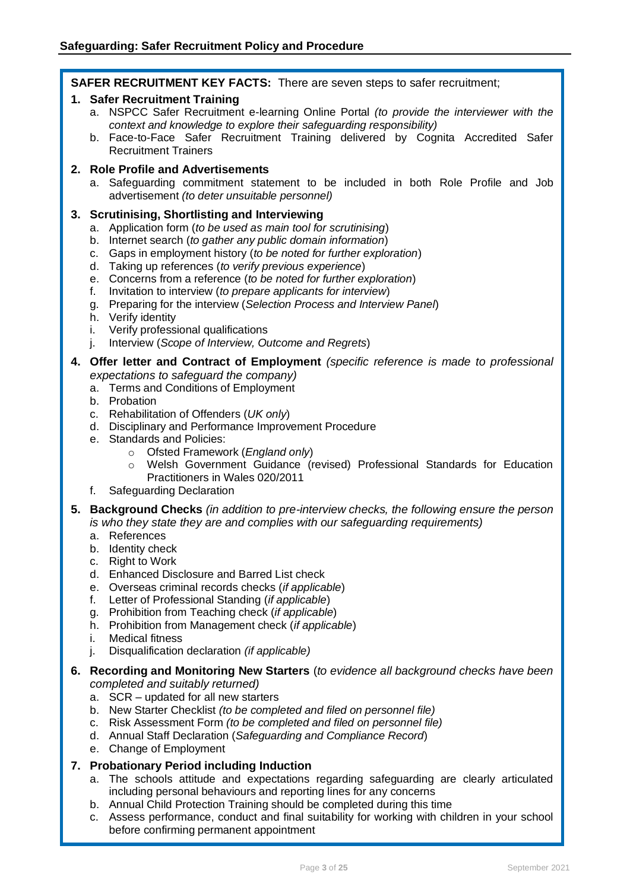**SAFER RECRUITMENT KEY FACTS:** There are seven steps to safer recruitment;

#### **1. Safer Recruitment Training**

- a. NSPCC Safer Recruitment e-learning Online Portal *(to provide the interviewer with the context and knowledge to explore their safeguarding responsibility)*
- b. Face-to-Face Safer Recruitment Training delivered by Cognita Accredited Safer Recruitment Trainers

#### **2. Role Profile and Advertisements**

a. Safeguarding commitment statement to be included in both Role Profile and Job advertisement *(to deter unsuitable personnel)*

#### **3. Scrutinising, Shortlisting and Interviewing**

- a. Application form (*to be used as main tool for scrutinising*)
- b. Internet search (*to gather any public domain information*)
- c. Gaps in employment history (*to be noted for further exploration*)
- d. Taking up references (*to verify previous experience*)
- e. Concerns from a reference (*to be noted for further exploration*)
- f. Invitation to interview (*to prepare applicants for interview*)
- g. Preparing for the interview (*Selection Process and Interview Panel*)
- h. Verify identity
- i. Verify professional qualifications
- j. Interview (*Scope of Interview, Outcome and Regrets*)
- **4. Offer letter and Contract of Employment** *(specific reference is made to professional expectations to safeguard the company)*
	- a. Terms and Conditions of Employment
	- b. Probation
	- c. Rehabilitation of Offenders (*UK only*)
	- d. Disciplinary and Performance Improvement Procedure
	- e. Standards and Policies:
		- o Ofsted Framework (*England only*)
		- o Welsh Government Guidance (revised) Professional Standards for Education Practitioners in Wales 020/2011
	- f. Safeguarding Declaration
- **5. Background Checks** *(in addition to pre-interview checks, the following ensure the person is who they state they are and complies with our safeguarding requirements)*
	- a. References
	- b. Identity check
	- c. Right to Work
	- d. Enhanced Disclosure and Barred List check
	- e. Overseas criminal records checks (*if applicable*)
	- f. Letter of Professional Standing (*if applicable*)
	- g. Prohibition from Teaching check (*if applicable*)
	- h. Prohibition from Management check (*if applicable*)
	- i. Medical fitness
	- j. Disqualification declaration *(if applicable)*
- **6. Recording and Monitoring New Starters** (*to evidence all background checks have been completed and suitably returned)*
	- a. SCR updated for all new starters
	- b. New Starter Checklist *(to be completed and filed on personnel file)*
	- c. Risk Assessment Form *(to be completed and filed on personnel file)*
	- d. Annual Staff Declaration (*Safeguarding and Compliance Record*)
	- e. Change of Employment

#### **7. Probationary Period including Induction**

- a. The schools attitude and expectations regarding safeguarding are clearly articulated including personal behaviours and reporting lines for any concerns
- b. Annual Child Protection Training should be completed during this time
- c. Assess performance, conduct and final suitability for working with children in your school before confirming permanent appointment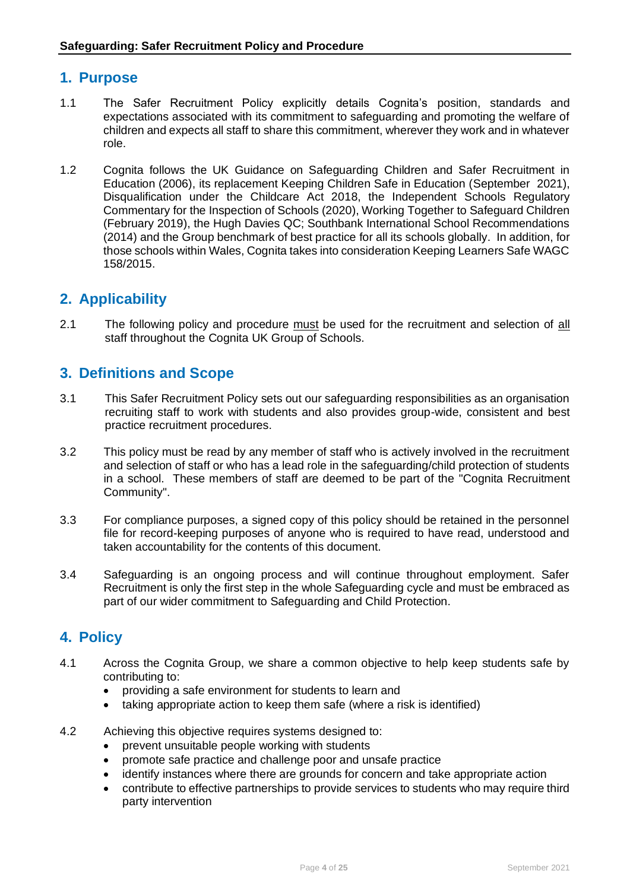# **1. Purpose**

- 1.1 The Safer Recruitment Policy explicitly details Cognita's position, standards and expectations associated with its commitment to safeguarding and promoting the welfare of children and expects all staff to share this commitment, wherever they work and in whatever role.
- 1.2 Cognita follows the UK Guidance on Safeguarding Children and Safer Recruitment in Education (2006), its replacement Keeping Children Safe in Education (September 2021), Disqualification under the Childcare Act 2018, the Independent Schools Regulatory Commentary for the Inspection of Schools (2020), Working Together to Safeguard Children (February 2019), the Hugh Davies QC; Southbank International School Recommendations (2014) and the Group benchmark of best practice for all its schools globally. In addition, for those schools within Wales, Cognita takes into consideration Keeping Learners Safe WAGC 158/2015.

# **2. Applicability**

2.1 The following policy and procedure must be used for the recruitment and selection of all staff throughout the Cognita UK Group of Schools.

# **3. Definitions and Scope**

- 3.1 This Safer Recruitment Policy sets out our safeguarding responsibilities as an organisation recruiting staff to work with students and also provides group-wide, consistent and best practice recruitment procedures.
- 3.2 This policy must be read by any member of staff who is actively involved in the recruitment and selection of staff or who has a lead role in the safeguarding/child protection of students in a school. These members of staff are deemed to be part of the "Cognita Recruitment Community".
- 3.3 For compliance purposes, a signed copy of this policy should be retained in the personnel file for record-keeping purposes of anyone who is required to have read, understood and taken accountability for the contents of this document.
- 3.4 Safeguarding is an ongoing process and will continue throughout employment. Safer Recruitment is only the first step in the whole Safeguarding cycle and must be embraced as part of our wider commitment to Safeguarding and Child Protection.

# **4. Policy**

- 4.1 Across the Cognita Group, we share a common objective to help keep students safe by contributing to:
	- providing a safe environment for students to learn and
	- taking appropriate action to keep them safe (where a risk is identified)
- 4.2 Achieving this objective requires systems designed to:
	- prevent unsuitable people working with students
	- promote safe practice and challenge poor and unsafe practice
	- identify instances where there are grounds for concern and take appropriate action
	- contribute to effective partnerships to provide services to students who may require third party intervention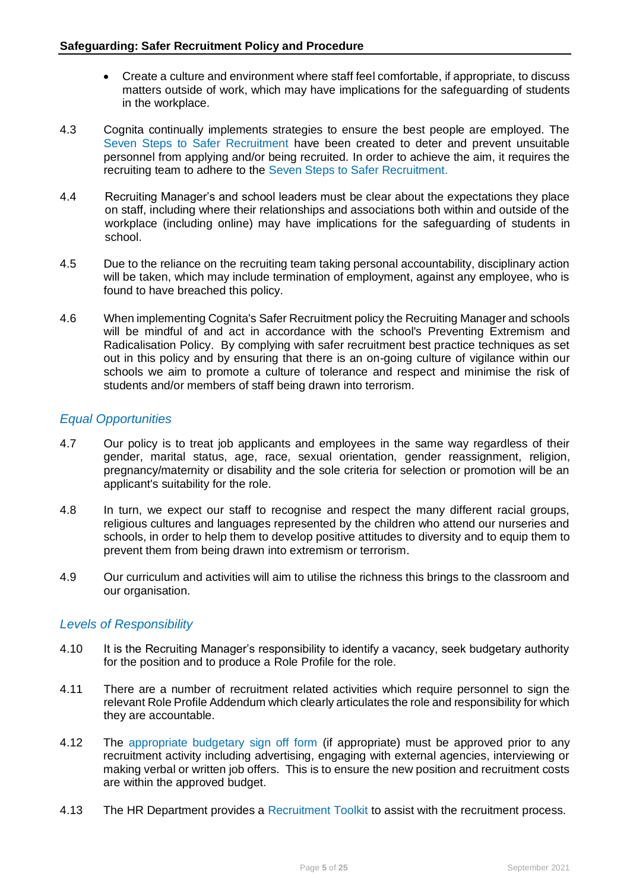- Create a culture and environment where staff feel comfortable, if appropriate, to discuss matters outside of work, which may have implications for the safeguarding of students in the workplace.
- 4.3 Cognita continually implements strategies to ensure the best people are employed. The Seven Steps to Safer Recruitment have been created to deter and prevent unsuitable personnel from applying and/or being recruited. In order to achieve the aim, it requires the recruiting team to adhere to the Seven Steps to Safer Recruitment.
- 4.4 Recruiting Manager's and school leaders must be clear about the expectations they place on staff, including where their relationships and associations both within and outside of the workplace (including online) may have implications for the safeguarding of students in school.
- 4.5 Due to the reliance on the recruiting team taking personal accountability, disciplinary action will be taken, which may include termination of employment, against any employee, who is found to have breached this policy.
- 4.6 When implementing Cognita's Safer Recruitment policy the Recruiting Manager and schools will be mindful of and act in accordance with the school's Preventing Extremism and Radicalisation Policy. By complying with safer recruitment best practice techniques as set out in this policy and by ensuring that there is an on-going culture of vigilance within our schools we aim to promote a culture of tolerance and respect and minimise the risk of students and/or members of staff being drawn into terrorism.

### *Equal Opportunities*

- 4.7 Our policy is to treat job applicants and employees in the same way regardless of their gender, marital status, age, race, sexual orientation, gender reassignment, religion, pregnancy/maternity or disability and the sole criteria for selection or promotion will be an applicant's suitability for the role.
- 4.8 In turn, we expect our staff to recognise and respect the many different racial groups, religious cultures and languages represented by the children who attend our nurseries and schools, in order to help them to develop positive attitudes to diversity and to equip them to prevent them from being drawn into extremism or terrorism.
- 4.9 Our curriculum and activities will aim to utilise the richness this brings to the classroom and our organisation.

#### *Levels of Responsibility*

- 4.10 It is the Recruiting Manager's responsibility to identify a vacancy, seek budgetary authority for the position and to produce a Role Profile for the role.
- 4.11 There are a number of recruitment related activities which require personnel to sign the relevant Role Profile Addendum which clearly articulates the role and responsibility for which they are accountable.
- 4.12 The appropriate budgetary sign off form (if appropriate) must be approved prior to any recruitment activity including advertising, engaging with external agencies, interviewing or making verbal or written job offers. This is to ensure the new position and recruitment costs are within the approved budget.
- 4.13 The HR Department provides a Recruitment Toolkit to assist with the recruitment process.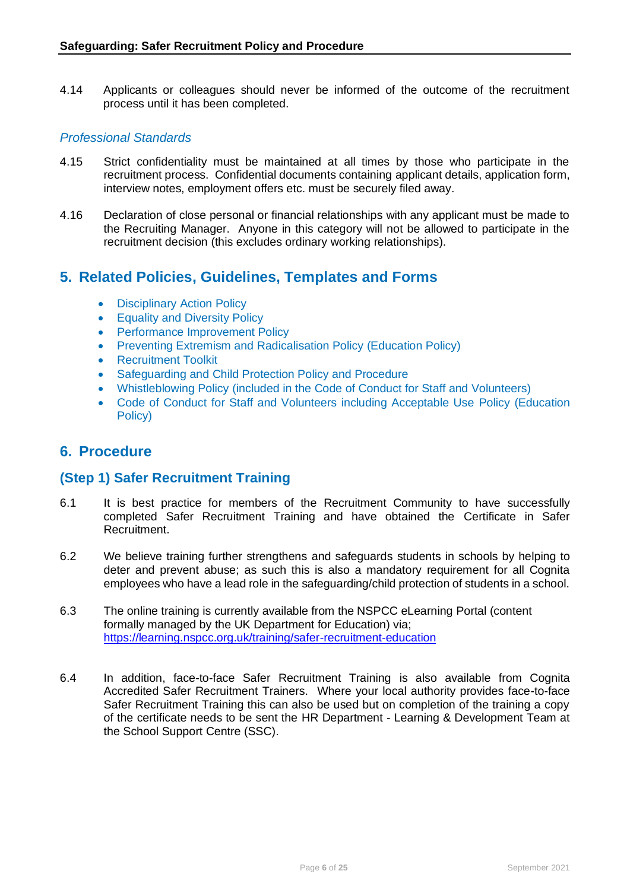4.14 Applicants or colleagues should never be informed of the outcome of the recruitment process until it has been completed.

#### *Professional Standards*

- 4.15 Strict confidentiality must be maintained at all times by those who participate in the recruitment process. Confidential documents containing applicant details, application form, interview notes, employment offers etc. must be securely filed away.
- 4.16 Declaration of close personal or financial relationships with any applicant must be made to the Recruiting Manager. Anyone in this category will not be allowed to participate in the recruitment decision (this excludes ordinary working relationships).

# **5. Related Policies, Guidelines, Templates and Forms**

- Disciplinary Action Policy
- Equality and Diversity Policy
- Performance Improvement Policy
- Preventing Extremism and Radicalisation Policy (Education Policy)
- Recruitment Toolkit
- Safeguarding and Child Protection Policy and Procedure
- Whistleblowing Policy (included in the Code of Conduct for Staff and Volunteers)
- Code of Conduct for Staff and Volunteers including Acceptable Use Policy (Education Policy)

# **6. Procedure**

#### **(Step 1) Safer Recruitment Training**

- 6.1 It is best practice for members of the Recruitment Community to have successfully completed Safer Recruitment Training and have obtained the Certificate in Safer Recruitment.
- 6.2 We believe training further strengthens and safeguards students in schools by helping to deter and prevent abuse; as such this is also a mandatory requirement for all Cognita employees who have a lead role in the safeguarding/child protection of students in a school.
- 6.3 The online training is currently available from the NSPCC eLearning Portal (content formally managed by the UK Department for Education) via; <https://learning.nspcc.org.uk/training/safer-recruitment-education>
- 6.4 In addition, face-to-face Safer Recruitment Training is also available from Cognita Accredited Safer Recruitment Trainers. Where your local authority provides face-to-face Safer Recruitment Training this can also be used but on completion of the training a copy of the certificate needs to be sent the HR Department - Learning & Development Team at the School Support Centre (SSC).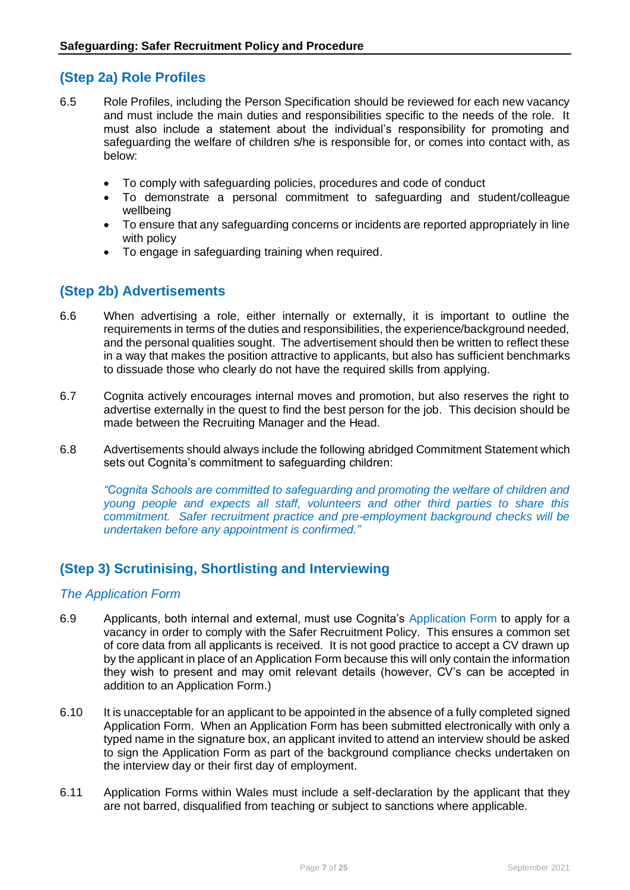# **(Step 2a) Role Profiles**

- 6.5 Role Profiles, including the Person Specification should be reviewed for each new vacancy and must include the main duties and responsibilities specific to the needs of the role. It must also include a statement about the individual's responsibility for promoting and safeguarding the welfare of children s/he is responsible for, or comes into contact with, as below:
	- To comply with safeguarding policies, procedures and code of conduct
	- To demonstrate a personal commitment to safeguarding and student/colleague wellbeing
	- To ensure that any safeguarding concerns or incidents are reported appropriately in line with policy
	- To engage in safeguarding training when required.

# **(Step 2b) Advertisements**

- 6.6 When advertising a role, either internally or externally, it is important to outline the requirements in terms of the duties and responsibilities, the experience/background needed, and the personal qualities sought. The advertisement should then be written to reflect these in a way that makes the position attractive to applicants, but also has sufficient benchmarks to dissuade those who clearly do not have the required skills from applying.
- 6.7 Cognita actively encourages internal moves and promotion, but also reserves the right to advertise externally in the quest to find the best person for the job. This decision should be made between the Recruiting Manager and the Head.
- 6.8 Advertisements should always include the following abridged Commitment Statement which sets out Cognita's commitment to safeguarding children:

*"Cognita Schools are committed to safeguarding and promoting the welfare of children and young people and expects all staff, volunteers and other third parties to share this commitment. Safer recruitment practice and pre-employment background checks will be undertaken before any appointment is confirmed."*

# **(Step 3) Scrutinising, Shortlisting and Interviewing**

#### *The Application Form*

- 6.9 Applicants, both internal and external, must use Cognita's Application Form to apply for a vacancy in order to comply with the Safer Recruitment Policy. This ensures a common set of core data from all applicants is received. It is not good practice to accept a CV drawn up by the applicant in place of an Application Form because this will only contain the information they wish to present and may omit relevant details (however, CV's can be accepted in addition to an Application Form.)
- 6.10 It is unacceptable for an applicant to be appointed in the absence of a fully completed signed Application Form. When an Application Form has been submitted electronically with only a typed name in the signature box, an applicant invited to attend an interview should be asked to sign the Application Form as part of the background compliance checks undertaken on the interview day or their first day of employment.
- 6.11 Application Forms within Wales must include a self-declaration by the applicant that they are not barred, disqualified from teaching or subject to sanctions where applicable.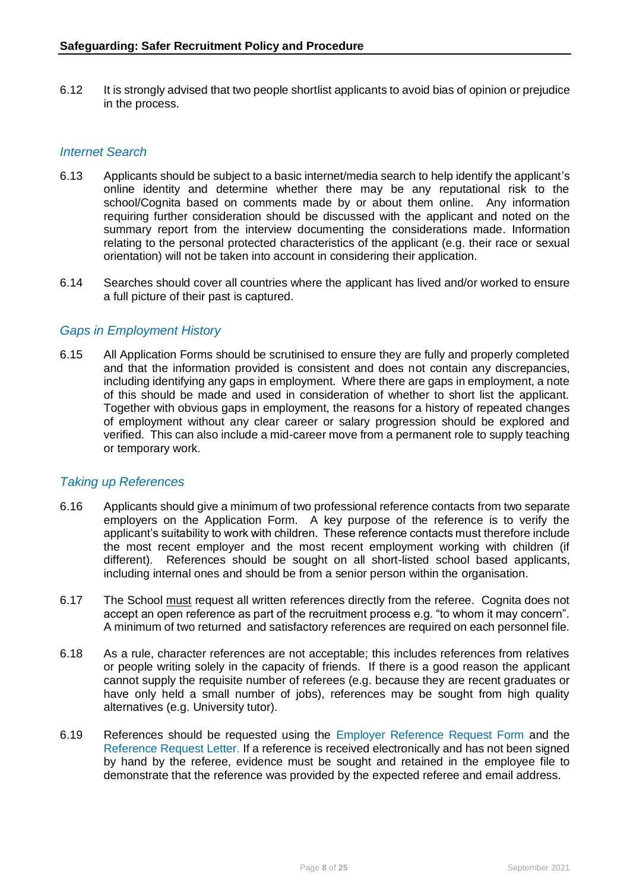6.12 It is strongly advised that two people shortlist applicants to avoid bias of opinion or prejudice in the process.

#### *Internet Search*

- 6.13 Applicants should be subject to a basic internet/media search to help identify the applicant's online identity and determine whether there may be any reputational risk to the school/Cognita based on comments made by or about them online. Any information requiring further consideration should be discussed with the applicant and noted on the summary report from the interview documenting the considerations made. Information relating to the personal protected characteristics of the applicant (e.g. their race or sexual orientation) will not be taken into account in considering their application.
- 6.14 Searches should cover all countries where the applicant has lived and/or worked to ensure a full picture of their past is captured.

#### *Gaps in Employment History*

6.15 All Application Forms should be scrutinised to ensure they are fully and properly completed and that the information provided is consistent and does not contain any discrepancies, including identifying any gaps in employment. Where there are gaps in employment, a note of this should be made and used in consideration of whether to short list the applicant. Together with obvious gaps in employment, the reasons for a history of repeated changes of employment without any clear career or salary progression should be explored and verified. This can also include a mid-career move from a permanent role to supply teaching or temporary work.

#### *Taking up References*

- 6.16 Applicants should give a minimum of two professional reference contacts from two separate employers on the Application Form. A key purpose of the reference is to verify the applicant's suitability to work with children. These reference contacts must therefore include the most recent employer and the most recent employment working with children (if different). References should be sought on all short-listed school based applicants, including internal ones and should be from a senior person within the organisation.
- 6.17 The School must request all written references directly from the referee. Cognita does not accept an open reference as part of the recruitment process e.g. "to whom it may concern". A minimum of two returned and satisfactory references are required on each personnel file.
- 6.18 As a rule, character references are not acceptable; this includes references from relatives or people writing solely in the capacity of friends. If there is a good reason the applicant cannot supply the requisite number of referees (e.g. because they are recent graduates or have only held a small number of jobs), references may be sought from high quality alternatives (e.g. University tutor).
- 6.19 References should be requested using the Employer Reference Request Form and the Reference Request Letter. If a reference is received electronically and has not been signed by hand by the referee, evidence must be sought and retained in the employee file to demonstrate that the reference was provided by the expected referee and email address.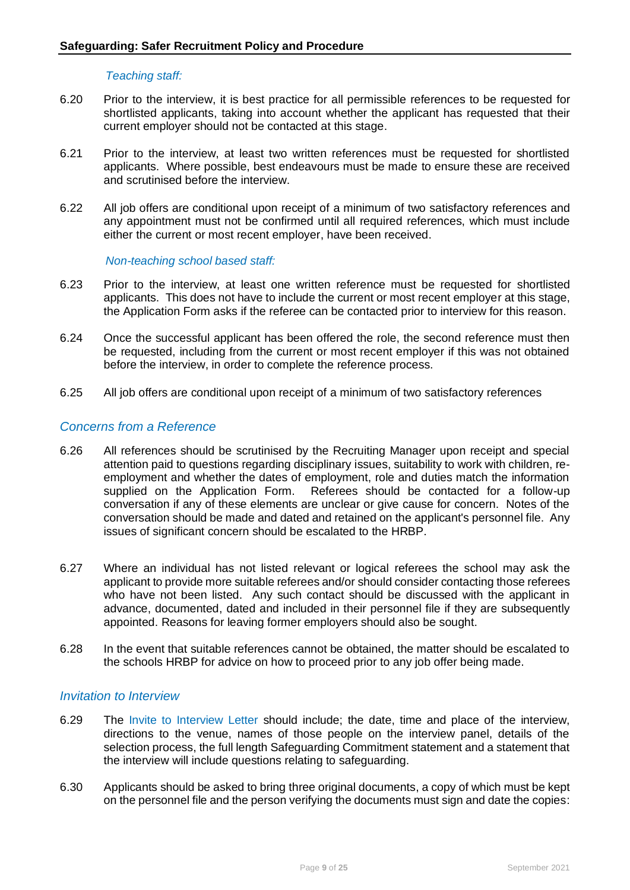#### *Teaching staff:*

- 6.20 Prior to the interview, it is best practice for all permissible references to be requested for shortlisted applicants, taking into account whether the applicant has requested that their current employer should not be contacted at this stage.
- 6.21 Prior to the interview, at least two written references must be requested for shortlisted applicants. Where possible, best endeavours must be made to ensure these are received and scrutinised before the interview.
- 6.22 All job offers are conditional upon receipt of a minimum of two satisfactory references and any appointment must not be confirmed until all required references, which must include either the current or most recent employer, have been received.

#### *Non-teaching school based staff:*

- 6.23 Prior to the interview, at least one written reference must be requested for shortlisted applicants. This does not have to include the current or most recent employer at this stage, the Application Form asks if the referee can be contacted prior to interview for this reason.
- 6.24 Once the successful applicant has been offered the role, the second reference must then be requested, including from the current or most recent employer if this was not obtained before the interview, in order to complete the reference process.
- 6.25 All job offers are conditional upon receipt of a minimum of two satisfactory references

#### *Concerns from a Reference*

- 6.26 All references should be scrutinised by the Recruiting Manager upon receipt and special attention paid to questions regarding disciplinary issues, suitability to work with children, reemployment and whether the dates of employment, role and duties match the information supplied on the Application Form. Referees should be contacted for a follow-up conversation if any of these elements are unclear or give cause for concern. Notes of the conversation should be made and dated and retained on the applicant's personnel file. Any issues of significant concern should be escalated to the HRBP.
- 6.27 Where an individual has not listed relevant or logical referees the school may ask the applicant to provide more suitable referees and/or should consider contacting those referees who have not been listed. Any such contact should be discussed with the applicant in advance, documented, dated and included in their personnel file if they are subsequently appointed. Reasons for leaving former employers should also be sought.
- 6.28 In the event that suitable references cannot be obtained, the matter should be escalated to the schools HRBP for advice on how to proceed prior to any job offer being made.

#### *Invitation to Interview*

- 6.29 The Invite to Interview Letter should include; the date, time and place of the interview, directions to the venue, names of those people on the interview panel, details of the selection process, the full length Safeguarding Commitment statement and a statement that the interview will include questions relating to safeguarding.
- 6.30 Applicants should be asked to bring three original documents, a copy of which must be kept on the personnel file and the person verifying the documents must sign and date the copies: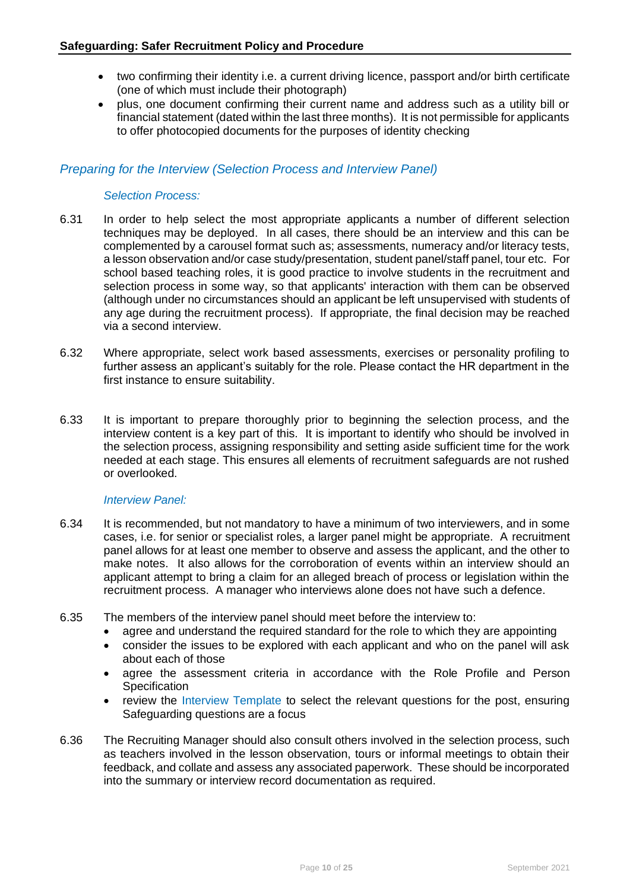- two confirming their identity i.e. a current driving licence, passport and/or birth certificate (one of which must include their photograph)
- plus, one document confirming their current name and address such as a utility bill or financial statement (dated within the last three months). It is not permissible for applicants to offer photocopied documents for the purposes of identity checking

#### *Preparing for the Interview (Selection Process and Interview Panel)*

#### *Selection Process:*

- 6.31 In order to help select the most appropriate applicants a number of different selection techniques may be deployed. In all cases, there should be an interview and this can be complemented by a carousel format such as; assessments, numeracy and/or literacy tests, a lesson observation and/or case study/presentation, student panel/staff panel, tour etc. For school based teaching roles, it is good practice to involve students in the recruitment and selection process in some way, so that applicants' interaction with them can be observed (although under no circumstances should an applicant be left unsupervised with students of any age during the recruitment process). If appropriate, the final decision may be reached via a second interview.
- 6.32 Where appropriate, select work based assessments, exercises or personality profiling to further assess an applicant's suitably for the role. Please contact the HR department in the first instance to ensure suitability.
- 6.33 It is important to prepare thoroughly prior to beginning the selection process, and the interview content is a key part of this. It is important to identify who should be involved in the selection process, assigning responsibility and setting aside sufficient time for the work needed at each stage. This ensures all elements of recruitment safeguards are not rushed or overlooked.

#### *Interview Panel:*

- 6.34 It is recommended, but not mandatory to have a minimum of two interviewers, and in some cases, i.e. for senior or specialist roles, a larger panel might be appropriate. A recruitment panel allows for at least one member to observe and assess the applicant, and the other to make notes. It also allows for the corroboration of events within an interview should an applicant attempt to bring a claim for an alleged breach of process or legislation within the recruitment process. A manager who interviews alone does not have such a defence.
- 6.35 The members of the interview panel should meet before the interview to:
	- agree and understand the required standard for the role to which they are appointing
	- consider the issues to be explored with each applicant and who on the panel will ask about each of those
	- agree the assessment criteria in accordance with the Role Profile and Person **Specification**
	- review the Interview Template to select the relevant questions for the post, ensuring Safeguarding questions are a focus
- 6.36 The Recruiting Manager should also consult others involved in the selection process, such as teachers involved in the lesson observation, tours or informal meetings to obtain their feedback, and collate and assess any associated paperwork. These should be incorporated into the summary or interview record documentation as required.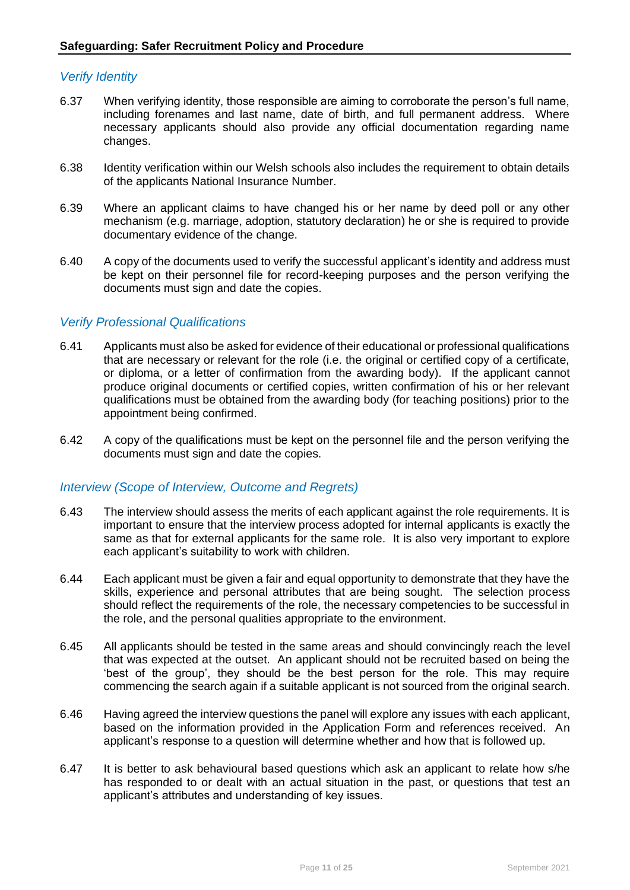#### *Verify Identity*

- 6.37 When verifying identity, those responsible are aiming to corroborate the person's full name, including forenames and last name, date of birth, and full permanent address. Where necessary applicants should also provide any official documentation regarding name changes.
- 6.38 Identity verification within our Welsh schools also includes the requirement to obtain details of the applicants National Insurance Number.
- 6.39 Where an applicant claims to have changed his or her name by deed poll or any other mechanism (e.g. marriage, adoption, statutory declaration) he or she is required to provide documentary evidence of the change.
- 6.40 A copy of the documents used to verify the successful applicant's identity and address must be kept on their personnel file for record-keeping purposes and the person verifying the documents must sign and date the copies.

#### *Verify Professional Qualifications*

- 6.41 Applicants must also be asked for evidence of their educational or professional qualifications that are necessary or relevant for the role (i.e. the original or certified copy of a certificate, or diploma, or a letter of confirmation from the awarding body). If the applicant cannot produce original documents or certified copies, written confirmation of his or her relevant qualifications must be obtained from the awarding body (for teaching positions) prior to the appointment being confirmed.
- 6.42 A copy of the qualifications must be kept on the personnel file and the person verifying the documents must sign and date the copies.

#### *Interview (Scope of Interview, Outcome and Regrets)*

- 6.43 The interview should assess the merits of each applicant against the role requirements. It is important to ensure that the interview process adopted for internal applicants is exactly the same as that for external applicants for the same role. It is also very important to explore each applicant's suitability to work with children.
- 6.44 Each applicant must be given a fair and equal opportunity to demonstrate that they have the skills, experience and personal attributes that are being sought. The selection process should reflect the requirements of the role, the necessary competencies to be successful in the role, and the personal qualities appropriate to the environment.
- 6.45 All applicants should be tested in the same areas and should convincingly reach the level that was expected at the outset. An applicant should not be recruited based on being the 'best of the group', they should be the best person for the role. This may require commencing the search again if a suitable applicant is not sourced from the original search.
- 6.46 Having agreed the interview questions the panel will explore any issues with each applicant, based on the information provided in the Application Form and references received. An applicant's response to a question will determine whether and how that is followed up.
- 6.47 It is better to ask behavioural based questions which ask an applicant to relate how s/he has responded to or dealt with an actual situation in the past, or questions that test an applicant's attributes and understanding of key issues.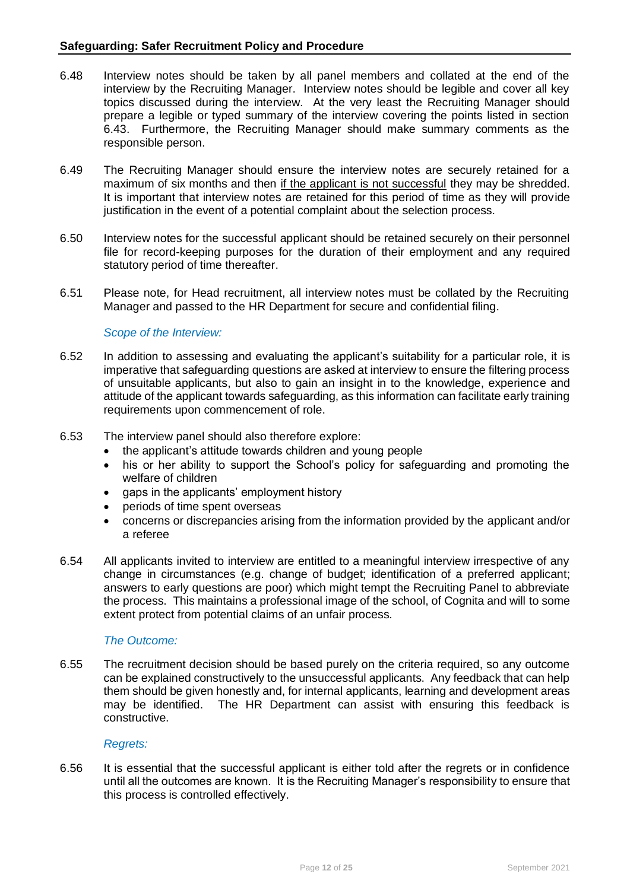- 6.48 Interview notes should be taken by all panel members and collated at the end of the interview by the Recruiting Manager. Interview notes should be legible and cover all key topics discussed during the interview. At the very least the Recruiting Manager should prepare a legible or typed summary of the interview covering the points listed in section 6.43. Furthermore, the Recruiting Manager should make summary comments as the responsible person.
- 6.49 The Recruiting Manager should ensure the interview notes are securely retained for a maximum of six months and then if the applicant is not successful they may be shredded. It is important that interview notes are retained for this period of time as they will provide justification in the event of a potential complaint about the selection process.
- 6.50 Interview notes for the successful applicant should be retained securely on their personnel file for record-keeping purposes for the duration of their employment and any required statutory period of time thereafter.
- 6.51 Please note, for Head recruitment, all interview notes must be collated by the Recruiting Manager and passed to the HR Department for secure and confidential filing.

#### *Scope of the Interview:*

- 6.52 In addition to assessing and evaluating the applicant's suitability for a particular role, it is imperative that safeguarding questions are asked at interview to ensure the filtering process of unsuitable applicants, but also to gain an insight in to the knowledge, experience and attitude of the applicant towards safeguarding, as this information can facilitate early training requirements upon commencement of role.
- 6.53 The interview panel should also therefore explore:
	- the applicant's attitude towards children and young people
	- his or her ability to support the School's policy for safeguarding and promoting the welfare of children
	- qaps in the applicants' employment history
	- periods of time spent overseas
	- concerns or discrepancies arising from the information provided by the applicant and/or a referee
- 6.54 All applicants invited to interview are entitled to a meaningful interview irrespective of any change in circumstances (e.g. change of budget; identification of a preferred applicant; answers to early questions are poor) which might tempt the Recruiting Panel to abbreviate the process. This maintains a professional image of the school, of Cognita and will to some extent protect from potential claims of an unfair process.

#### *The Outcome:*

6.55 The recruitment decision should be based purely on the criteria required, so any outcome can be explained constructively to the unsuccessful applicants. Any feedback that can help them should be given honestly and, for internal applicants, learning and development areas may be identified. The HR Department can assist with ensuring this feedback is constructive.

#### *Regrets:*

6.56 It is essential that the successful applicant is either told after the regrets or in confidence until all the outcomes are known. It is the Recruiting Manager's responsibility to ensure that this process is controlled effectively.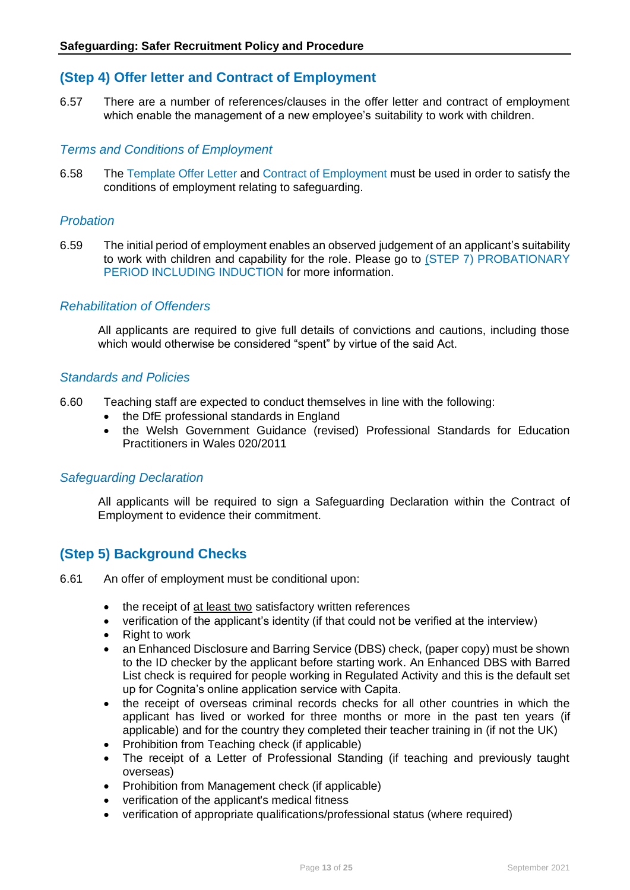# **(Step 4) Offer letter and Contract of Employment**

6.57 There are a number of references/clauses in the offer letter and contract of employment which enable the management of a new employee's suitability to work with children.

#### *Terms and Conditions of Employment*

6.58 The Template Offer Letter and Contract of Employment must be used in order to satisfy the conditions of employment relating to safeguarding.

#### *Probation*

6.59 The initial period of employment enables an observed judgement of an applicant's suitability to work with children and capability for the role. Please go to (STEP 7) PROBATIONARY PERIOD INCLUDING INDUCTION for more information.

#### *Rehabilitation of Offenders*

All applicants are required to give full details of convictions and cautions, including those which would otherwise be considered "spent" by virtue of the said Act.

#### *Standards and Policies*

- 6.60 Teaching staff are expected to conduct themselves in line with the following:
	- the DfE professional standards in England
	- the Welsh Government Guidance (revised) Professional Standards for Education Practitioners in Wales 020/2011

#### *Safeguarding Declaration*

All applicants will be required to sign a Safeguarding Declaration within the Contract of Employment to evidence their commitment.

#### **(Step 5) Background Checks**

- 6.61 An offer of employment must be conditional upon:
	- the receipt of at least two satisfactory written references
	- verification of the applicant's identity (if that could not be verified at the interview)
	- Right to work
	- an Enhanced Disclosure and Barring Service (DBS) check, (paper copy) must be shown to the ID checker by the applicant before starting work. An Enhanced DBS with Barred List check is required for people working in Regulated Activity and this is the default set up for Cognita's online application service with Capita.
	- the receipt of overseas criminal records checks for all other countries in which the applicant has lived or worked for three months or more in the past ten years (if applicable) and for the country they completed their teacher training in (if not the UK)
	- Prohibition from Teaching check (if applicable)
	- The receipt of a Letter of Professional Standing (if teaching and previously taught overseas)
	- Prohibition from Management check (if applicable)
	- verification of the applicant's medical fitness
	- verification of appropriate qualifications/professional status (where required)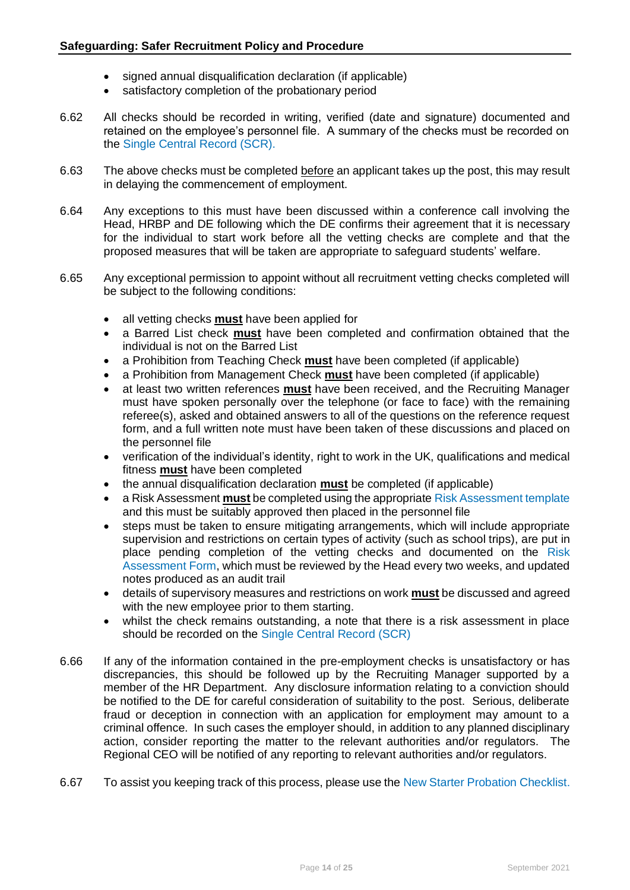- signed annual disqualification declaration (if applicable)
- satisfactory completion of the probationary period
- 6.62 All checks should be recorded in writing, verified (date and signature) documented and retained on the employee's personnel file. A summary of the checks must be recorded on the Single Central Record (SCR).
- 6.63 The above checks must be completed before an applicant takes up the post, this may result in delaying the commencement of employment.
- 6.64 Any exceptions to this must have been discussed within a conference call involving the Head, HRBP and DE following which the DE confirms their agreement that it is necessary for the individual to start work before all the vetting checks are complete and that the proposed measures that will be taken are appropriate to safeguard students' welfare.
- 6.65 Any exceptional permission to appoint without all recruitment vetting checks completed will be subject to the following conditions:
	- all vetting checks **must** have been applied for
	- a Barred List check **must** have been completed and confirmation obtained that the individual is not on the Barred List
	- a Prohibition from Teaching Check **must** have been completed (if applicable)
	- a Prohibition from Management Check **must** have been completed (if applicable)
	- at least two written references **must** have been received, and the Recruiting Manager must have spoken personally over the telephone (or face to face) with the remaining referee(s), asked and obtained answers to all of the questions on the reference request form, and a full written note must have been taken of these discussions and placed on the personnel file
	- verification of the individual's identity, right to work in the UK, qualifications and medical fitness **must** have been completed
	- the annual disqualification declaration **must** be completed (if applicable)
	- a Risk Assessment **must** be completed using the appropriate Risk Assessment template and this must be suitably approved then placed in the personnel file
	- steps must be taken to ensure mitigating arrangements, which will include appropriate supervision and restrictions on certain types of activity (such as school trips), are put in place pending completion of the vetting checks and documented on the Risk Assessment Form, which must be reviewed by the Head every two weeks, and updated notes produced as an audit trail
	- details of supervisory measures and restrictions on work **must** be discussed and agreed with the new employee prior to them starting.
	- whilst the check remains outstanding, a note that there is a risk assessment in place should be recorded on the Single Central Record (SCR)
- 6.66 If any of the information contained in the pre-employment checks is unsatisfactory or has discrepancies, this should be followed up by the Recruiting Manager supported by a member of the HR Department. Any disclosure information relating to a conviction should be notified to the DE for careful consideration of suitability to the post. Serious, deliberate fraud or deception in connection with an application for employment may amount to a criminal offence. In such cases the employer should, in addition to any planned disciplinary action, consider reporting the matter to the relevant authorities and/or regulators. The Regional CEO will be notified of any reporting to relevant authorities and/or regulators.
- 6.67 To assist you keeping track of this process, please use the New Starter Probation Checklist.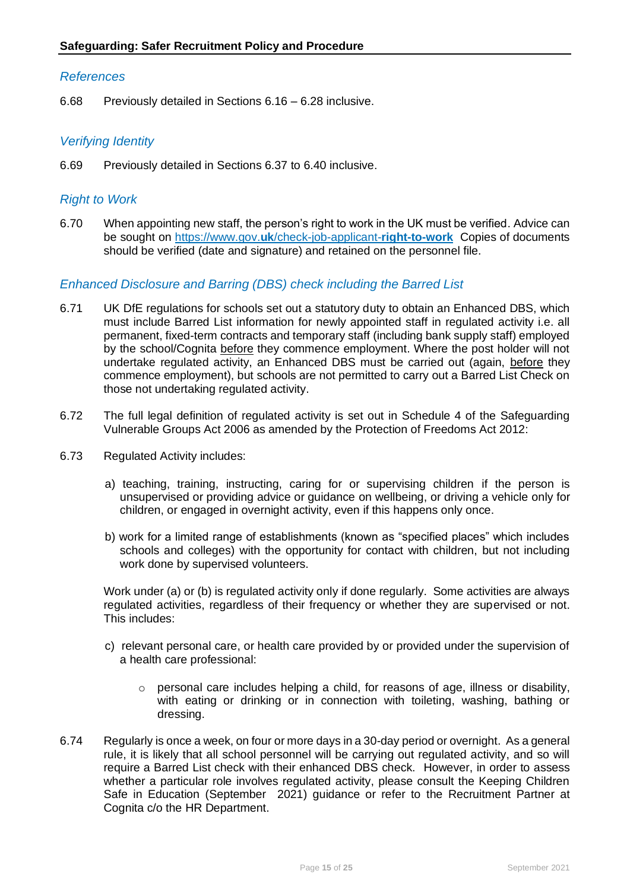#### *References*

6.68 Previously detailed in Sections 6.16 – 6.28 inclusive.

#### *Verifying Identity*

6.69 Previously detailed in Sections 6.37 to 6.40 inclusive.

#### *Right to Work*

6.70 When appointing new staff, the person's right to work in the UK must be verified. Advice can be sought on https://www.gov.**uk**[/check-job-applicant-](https://www.gov.uk/check-job-applicant-right-to-work)**right-to-work** Copies of documents should be verified (date and signature) and retained on the personnel file.

#### *Enhanced Disclosure and Barring (DBS) check including the Barred List*

- 6.71 UK DfE regulations for schools set out a statutory duty to obtain an Enhanced DBS, which must include Barred List information for newly appointed staff in regulated activity i.e. all permanent, fixed-term contracts and temporary staff (including bank supply staff) employed by the school/Cognita before they commence employment. Where the post holder will not undertake regulated activity, an Enhanced DBS must be carried out (again, before they commence employment), but schools are not permitted to carry out a Barred List Check on those not undertaking regulated activity.
- 6.72 The full legal definition of regulated activity is set out in Schedule 4 of the Safeguarding Vulnerable Groups Act 2006 as amended by the Protection of Freedoms Act 2012:
- 6.73 Regulated Activity includes:
	- a) teaching, training, instructing, caring for or supervising children if the person is unsupervised or providing advice or guidance on wellbeing, or driving a vehicle only for children, or engaged in overnight activity, even if this happens only once.
	- b) work for a limited range of establishments (known as "specified places" which includes schools and colleges) with the opportunity for contact with children, but not including work done by supervised volunteers.

Work under (a) or (b) is regulated activity only if done regularly. Some activities are always regulated activities, regardless of their frequency or whether they are supervised or not. This includes:

- c) relevant personal care, or health care provided by or provided under the supervision of a health care professional:
	- o personal care includes helping a child, for reasons of age, illness or disability, with eating or drinking or in connection with toileting, washing, bathing or dressing.
- 6.74 Regularly is once a week, on four or more days in a 30-day period or overnight. As a general rule, it is likely that all school personnel will be carrying out regulated activity, and so will require a Barred List check with their enhanced DBS check. However, in order to assess whether a particular role involves regulated activity, please consult the Keeping Children Safe in Education (September 2021) guidance or refer to the Recruitment Partner at Cognita c/o the HR Department.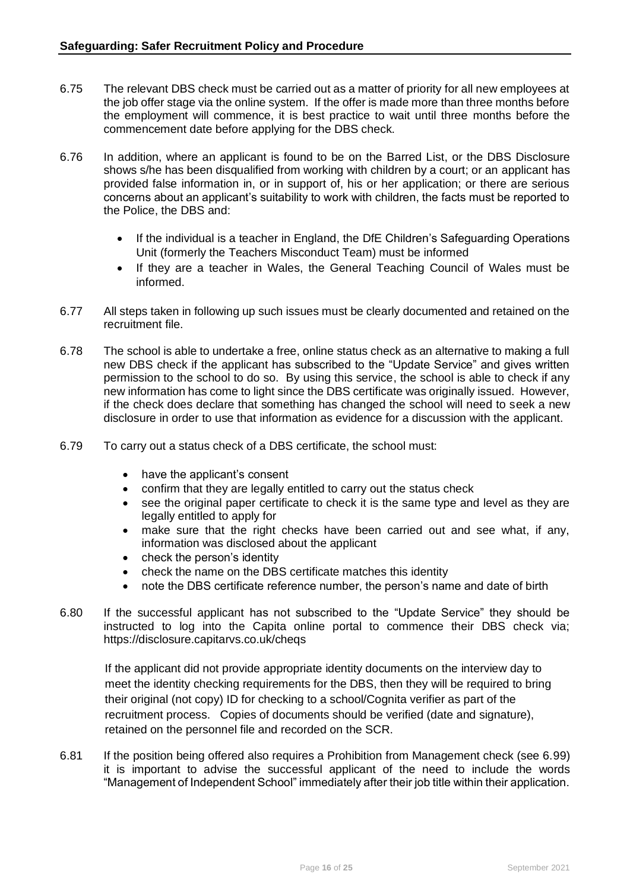- 6.75 The relevant DBS check must be carried out as a matter of priority for all new employees at the job offer stage via the online system. If the offer is made more than three months before the employment will commence, it is best practice to wait until three months before the commencement date before applying for the DBS check.
- 6.76 In addition, where an applicant is found to be on the Barred List, or the DBS Disclosure shows s/he has been disqualified from working with children by a court; or an applicant has provided false information in, or in support of, his or her application; or there are serious concerns about an applicant's suitability to work with children, the facts must be reported to the Police, the DBS and:
	- If the individual is a teacher in England, the DfE Children's Safeguarding Operations Unit (formerly the Teachers Misconduct Team) must be informed
	- If they are a teacher in Wales, the General Teaching Council of Wales must be informed.
- 6.77 All steps taken in following up such issues must be clearly documented and retained on the recruitment file.
- 6.78 The school is able to undertake a free, online status check as an alternative to making a full new DBS check if the applicant has subscribed to the "Update Service" and gives written permission to the school to do so. By using this service, the school is able to check if any new information has come to light since the DBS certificate was originally issued. However, if the check does declare that something has changed the school will need to seek a new disclosure in order to use that information as evidence for a discussion with the applicant.
- 6.79 To carry out a status check of a DBS certificate, the school must:
	- have the applicant's consent
	- confirm that they are legally entitled to carry out the status check
	- see the original paper certificate to check it is the same type and level as they are legally entitled to apply for
	- make sure that the right checks have been carried out and see what, if any, information was disclosed about the applicant
	- check the person's identity
	- check the name on the DBS certificate matches this identity
	- note the DBS certificate reference number, the person's name and date of birth
- 6.80 If the successful applicant has not subscribed to the "Update Service" they should be instructed to log into the Capita online portal to commence their DBS check via; <https://disclosure.capitarvs.co.uk/cheqs>

If the applicant did not provide appropriate identity documents on the interview day to meet the identity checking requirements for the DBS, then they will be required to bring their original (not copy) ID for checking to a school/Cognita verifier as part of the recruitment process. Copies of documents should be verified (date and signature), retained on the personnel file and recorded on the SCR.

6.81 If the position being offered also requires a Prohibition from Management check (see 6.99) it is important to advise the successful applicant of the need to include the words "Management of Independent School" immediately after their job title within their application.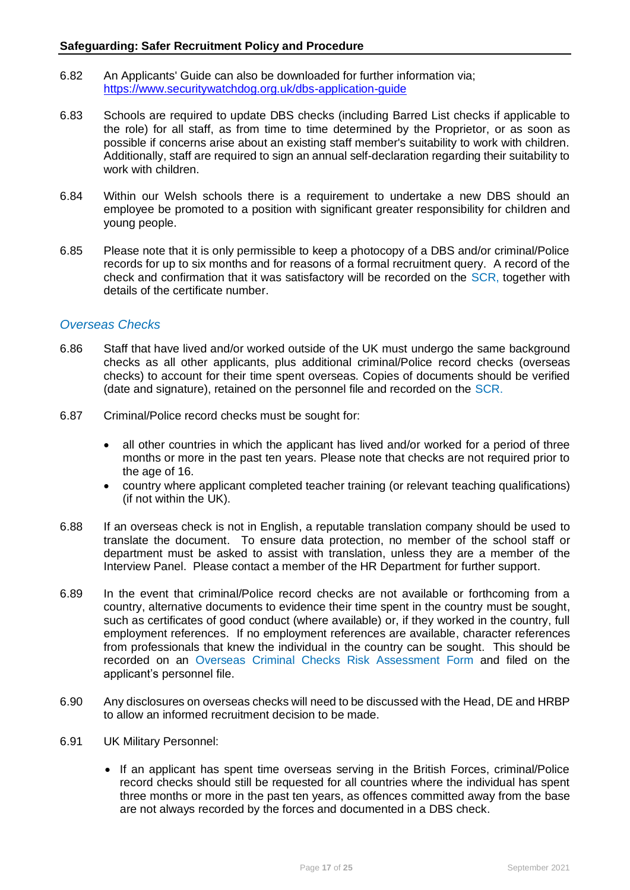- 6.82 An Applicants' Guide can also be downloaded for further information via; <https://www.securitywatchdog.org.uk/dbs-application-guide>
- 6.83 Schools are required to update DBS checks (including Barred List checks if applicable to the role) for all staff, as from time to time determined by the Proprietor, or as soon as possible if concerns arise about an existing staff member's suitability to work with children. Additionally, staff are required to sign an annual self-declaration regarding their suitability to work with children.
- 6.84 Within our Welsh schools there is a requirement to undertake a new DBS should an employee be promoted to a position with significant greater responsibility for children and young people.
- 6.85 Please note that it is only permissible to keep a photocopy of a DBS and/or criminal/Police records for up to six months and for reasons of a formal recruitment query. A record of the check and confirmation that it was satisfactory will be recorded on the SCR, together with details of the certificate number.

#### *Overseas Checks*

- 6.86 Staff that have lived and/or worked outside of the UK must undergo the same background checks as all other applicants, plus additional criminal/Police record checks (overseas checks) to account for their time spent overseas. Copies of documents should be verified (date and signature), retained on the personnel file and recorded on the SCR.
- 6.87 Criminal/Police record checks must be sought for:
	- all other countries in which the applicant has lived and/or worked for a period of three months or more in the past ten years. Please note that checks are not required prior to the age of 16.
	- country where applicant completed teacher training (or relevant teaching qualifications) (if not within the UK).
- 6.88 If an overseas check is not in English, a reputable translation company should be used to translate the document. To ensure data protection, no member of the school staff or department must be asked to assist with translation, unless they are a member of the Interview Panel. Please contact a member of the HR Department for further support.
- 6.89 In the event that criminal/Police record checks are not available or forthcoming from a country, alternative documents to evidence their time spent in the country must be sought, such as certificates of good conduct (where available) or, if they worked in the country, full employment references. If no employment references are available, character references from professionals that knew the individual in the country can be sought. This should be recorded on an Overseas Criminal Checks Risk Assessment Form and filed on the applicant's personnel file.
- 6.90 Any disclosures on overseas checks will need to be discussed with the Head, DE and HRBP to allow an informed recruitment decision to be made.
- 6.91 UK Military Personnel:
	- If an applicant has spent time overseas serving in the British Forces, criminal/Police record checks should still be requested for all countries where the individual has spent three months or more in the past ten years, as offences committed away from the base are not always recorded by the forces and documented in a DBS check.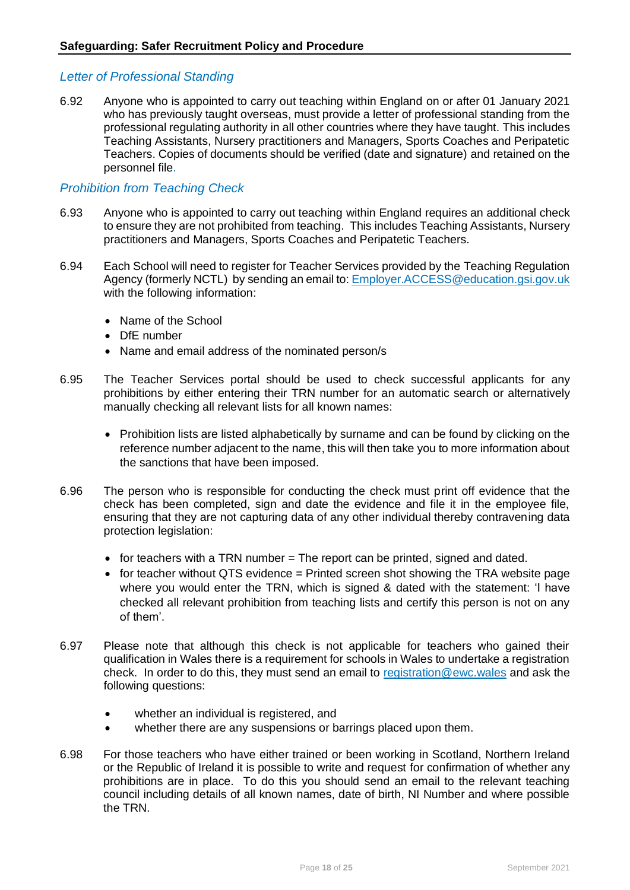#### *Letter of Professional Standing*

6.92 Anyone who is appointed to carry out teaching within England on or after 01 January 2021 who has previously taught overseas, must provide a letter of professional standing from the professional regulating authority in all other countries where they have taught. This includes Teaching Assistants, Nursery practitioners and Managers, Sports Coaches and Peripatetic Teachers. Copies of documents should be verified (date and signature) and retained on the personnel file.

#### *Prohibition from Teaching Check*

- 6.93 Anyone who is appointed to carry out teaching within England requires an additional check to ensure they are not prohibited from teaching. This includes Teaching Assistants, Nursery practitioners and Managers, Sports Coaches and Peripatetic Teachers.
- 6.94 Each School will need to register for Teacher Services provided by the Teaching Regulation Agency (formerly NCTL) by sending an email to[: Employer.ACCESS@education.gsi.gov.uk](mailto:Employer.ACCESS@education.gsi.gov.uk) with the following information:
	- Name of the School
	- DfF number
	- Name and email address of the nominated person/s
- 6.95 The Teacher Services portal should be used to check successful applicants for any prohibitions by either entering their TRN number for an automatic search or alternatively manually checking all relevant lists for all known names:
	- Prohibition lists are listed alphabetically by surname and can be found by clicking on the reference number adjacent to the name, this will then take you to more information about the sanctions that have been imposed.
- 6.96 The person who is responsible for conducting the check must print off evidence that the check has been completed, sign and date the evidence and file it in the employee file, ensuring that they are not capturing data of any other individual thereby contravening data protection legislation:
	- for teachers with a TRN number  $=$  The report can be printed, signed and dated.
	- for teacher without QTS evidence = Printed screen shot showing the TRA website page where you would enter the TRN, which is signed & dated with the statement: 'I have checked all relevant prohibition from teaching lists and certify this person is not on any of them'.
- 6.97 Please note that although this check is not applicable for teachers who gained their qualification in Wales there is a requirement for schools in Wales to undertake a registration check. In order to do this, they must send an email to [registration@ewc.wales](mailto:registration@ewc.wales) and ask the following questions:
	- whether an individual is registered, and
	- whether there are any suspensions or barrings placed upon them.
- 6.98 For those teachers who have either trained or been working in Scotland, Northern Ireland or the Republic of Ireland it is possible to write and request for confirmation of whether any prohibitions are in place. To do this you should send an email to the relevant teaching council including details of all known names, date of birth, NI Number and where possible the TRN.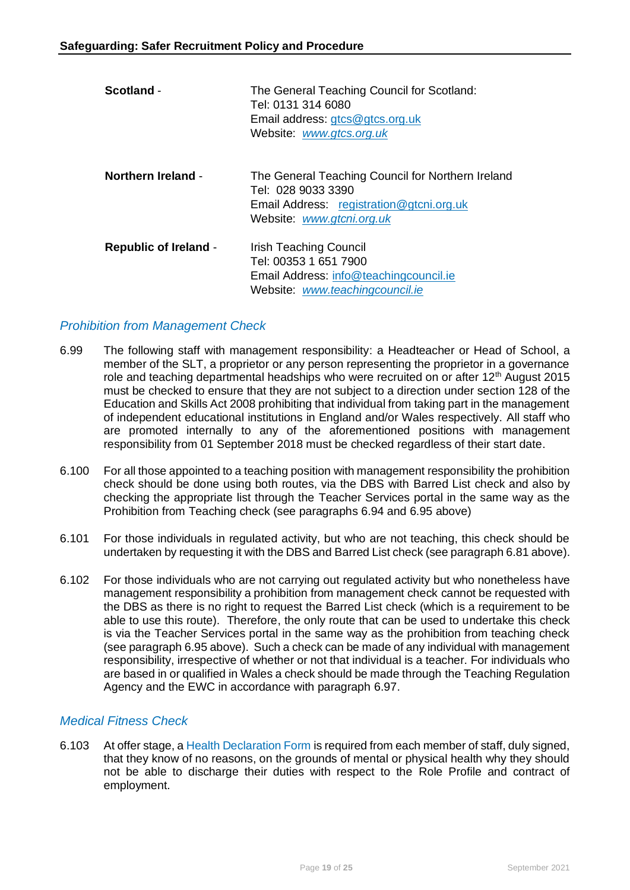| Scotland -                   | The General Teaching Council for Scotland:<br>Tel: 0131 314 6080<br>Email address: gtcs@gtcs.org.uk<br>Website: www.gtcs.org.uk                  |
|------------------------------|--------------------------------------------------------------------------------------------------------------------------------------------------|
| <b>Northern Ireland -</b>    | The General Teaching Council for Northern Ireland<br>Tel: 028 9033 3390<br>Email Address: registration@gtcni.org.uk<br>Website: www.gtcni.org.uk |
| <b>Republic of Ireland -</b> | Irish Teaching Council<br>Tel: 00353 1 651 7900<br>Email Address: info@teachingcouncil.ie<br>Website: www.teachingcouncil.ie                     |

#### *Prohibition from Management Check*

- 6.99 The following staff with management responsibility: a Headteacher or Head of School, a member of the SLT, a proprietor or any person representing the proprietor in a governance role and teaching departmental headships who were recruited on or after 12<sup>th</sup> August 2015 must be checked to ensure that they are not subject to a direction under section 128 of the Education and Skills Act 2008 prohibiting that individual from taking part in the management of independent educational institutions in England and/or Wales respectively. All staff who are promoted internally to any of the aforementioned positions with management responsibility from 01 September 2018 must be checked regardless of their start date.
- 6.100 For all those appointed to a teaching position with management responsibility the prohibition check should be done using both routes, via the DBS with Barred List check and also by checking the appropriate list through the Teacher Services portal in the same way as the Prohibition from Teaching check (see paragraphs 6.94 and 6.95 above)
- 6.101 For those individuals in regulated activity, but who are not teaching, this check should be undertaken by requesting it with the DBS and Barred List check (see paragraph 6.81 above).
- 6.102 For those individuals who are not carrying out regulated activity but who nonetheless have management responsibility a prohibition from management check cannot be requested with the DBS as there is no right to request the Barred List check (which is a requirement to be able to use this route). Therefore, the only route that can be used to undertake this check is via the Teacher Services portal in the same way as the prohibition from teaching check (see paragraph 6.95 above). Such a check can be made of any individual with management responsibility, irrespective of whether or not that individual is a teacher. For individuals who are based in or qualified in Wales a check should be made through the Teaching Regulation Agency and the EWC in accordance with paragraph 6.97.

#### *Medical Fitness Check*

6.103 At offer stage, a Health Declaration Form is required from each member of staff, duly signed, that they know of no reasons, on the grounds of mental or physical health why they should not be able to discharge their duties with respect to the Role Profile and contract of employment.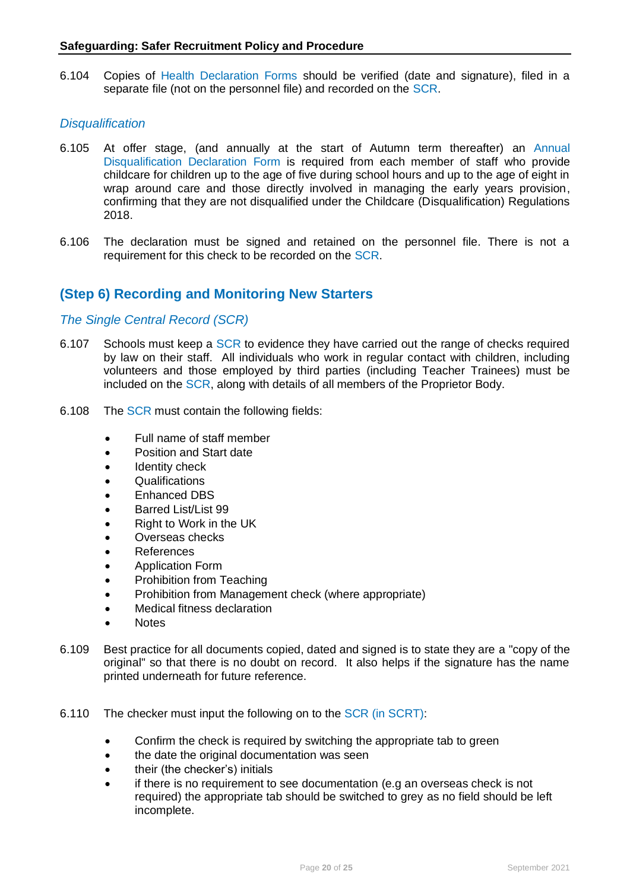6.104 Copies of Health Declaration Forms should be verified (date and signature), filed in a separate file (not on the personnel file) and recorded on the SCR.

#### *Disqualification*

- 6.105 At offer stage, (and annually at the start of Autumn term thereafter) an Annual Disqualification Declaration Form is required from each member of staff who provide childcare for children up to the age of five during school hours and up to the age of eight in wrap around care and those directly involved in managing the early years provision, confirming that they are not disqualified under the Childcare (Disqualification) Regulations 2018.
- 6.106 The declaration must be signed and retained on the personnel file. There is not a requirement for this check to be recorded on the SCR.

### **(Step 6) Recording and Monitoring New Starters**

#### *The Single Central Record (SCR)*

- 6.107 Schools must keep a SCR to evidence they have carried out the range of checks required by law on their staff. All individuals who work in regular contact with children, including volunteers and those employed by third parties (including Teacher Trainees) must be included on the SCR, along with details of all members of the Proprietor Body.
- 6.108 The SCR must contain the following fields:
	- Full name of staff member
	- Position and Start date
	- Identity check
	- Qualifications
	- Enhanced DBS
	- Barred List/List 99
	- Right to Work in the UK
	- Overseas checks
	- References
	- Application Form
	- Prohibition from Teaching
	- Prohibition from Management check (where appropriate)
	- Medical fitness declaration
	- Notes
- 6.109 Best practice for all documents copied, dated and signed is to state they are a "copy of the original" so that there is no doubt on record. It also helps if the signature has the name printed underneath for future reference.
- 6.110 The checker must input the following on to the SCR (in SCRT):
	- Confirm the check is required by switching the appropriate tab to green
	- the date the original documentation was seen
	- their (the checker's) initials
	- if there is no requirement to see documentation (e.g an overseas check is not required) the appropriate tab should be switched to grey as no field should be left incomplete.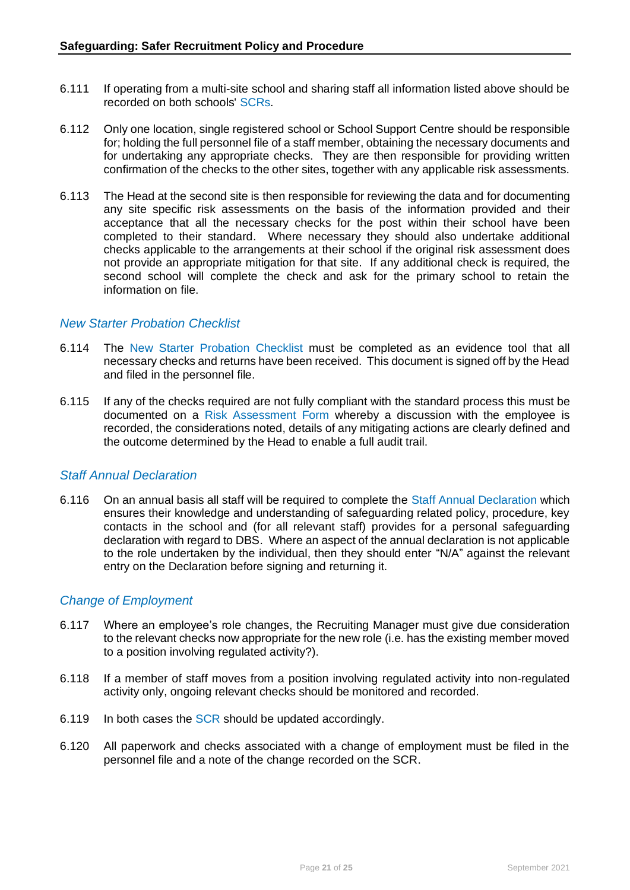- 6.111 If operating from a multi-site school and sharing staff all information listed above should be recorded on both schools' SCRs.
- 6.112 Only one location, single registered school or School Support Centre should be responsible for; holding the full personnel file of a staff member, obtaining the necessary documents and for undertaking any appropriate checks. They are then responsible for providing written confirmation of the checks to the other sites, together with any applicable risk assessments.
- 6.113 The Head at the second site is then responsible for reviewing the data and for documenting any site specific risk assessments on the basis of the information provided and their acceptance that all the necessary checks for the post within their school have been completed to their standard. Where necessary they should also undertake additional checks applicable to the arrangements at their school if the original risk assessment does not provide an appropriate mitigation for that site. If any additional check is required, the second school will complete the check and ask for the primary school to retain the information on file.

#### *New Starter Probation Checklist*

- 6.114 The New Starter Probation Checklist must be completed as an evidence tool that all necessary checks and returns have been received. This document is signed off by the Head and filed in the personnel file.
- 6.115 If any of the checks required are not fully compliant with the standard process this must be documented on a Risk Assessment Form whereby a discussion with the employee is recorded, the considerations noted, details of any mitigating actions are clearly defined and the outcome determined by the Head to enable a full audit trail.

#### *Staff Annual Declaration*

6.116 On an annual basis all staff will be required to complete the Staff Annual Declaration which ensures their knowledge and understanding of safeguarding related policy, procedure, key contacts in the school and (for all relevant staff) provides for a personal safeguarding declaration with regard to DBS. Where an aspect of the annual declaration is not applicable to the role undertaken by the individual, then they should enter "N/A" against the relevant entry on the Declaration before signing and returning it.

#### *Change of Employment*

- 6.117 Where an employee's role changes, the Recruiting Manager must give due consideration to the relevant checks now appropriate for the new role (i.e. has the existing member moved to a position involving regulated activity?).
- 6.118 If a member of staff moves from a position involving regulated activity into non-regulated activity only, ongoing relevant checks should be monitored and recorded.
- 6.119 In both cases the SCR should be updated accordingly.
- 6.120 All paperwork and checks associated with a change of employment must be filed in the personnel file and a note of the change recorded on the SCR.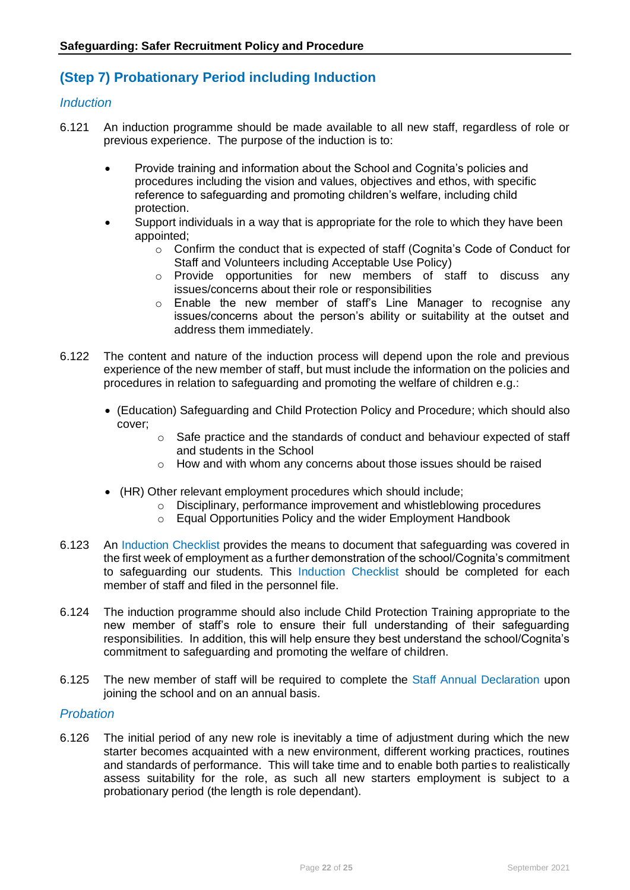# **(Step 7) Probationary Period including Induction**

#### *Induction*

- 6.121 An induction programme should be made available to all new staff, regardless of role or previous experience. The purpose of the induction is to:
	- Provide training and information about the School and Cognita's policies and procedures including the vision and values, objectives and ethos, with specific reference to safeguarding and promoting children's welfare, including child protection.
	- Support individuals in a way that is appropriate for the role to which they have been appointed;
		- $\circ$  Confirm the conduct that is expected of staff (Cognita's Code of Conduct for Staff and Volunteers including Acceptable Use Policy)
		- o Provide opportunities for new members of staff to discuss any issues/concerns about their role or responsibilities
		- o Enable the new member of staff's Line Manager to recognise any issues/concerns about the person's ability or suitability at the outset and address them immediately.
- 6.122 The content and nature of the induction process will depend upon the role and previous experience of the new member of staff, but must include the information on the policies and procedures in relation to safeguarding and promoting the welfare of children e.g.:
	- (Education) Safeguarding and Child Protection Policy and Procedure; which should also cover;
		- $\circ$  Safe practice and the standards of conduct and behaviour expected of staff and students in the School
		- o How and with whom any concerns about those issues should be raised
	- (HR) Other relevant employment procedures which should include;
		- o Disciplinary, performance improvement and whistleblowing procedures
		- o Equal Opportunities Policy and the wider Employment Handbook
- 6.123 An Induction Checklist provides the means to document that safeguarding was covered in the first week of employment as a further demonstration of the school/Cognita's commitment to safeguarding our students. This Induction Checklist should be completed for each member of staff and filed in the personnel file.
- 6.124 The induction programme should also include Child Protection Training appropriate to the new member of staff's role to ensure their full understanding of their safeguarding responsibilities. In addition, this will help ensure they best understand the school/Cognita's commitment to safeguarding and promoting the welfare of children.
- 6.125 The new member of staff will be required to complete the Staff Annual Declaration upon joining the school and on an annual basis.

#### *Probation*

6.126 The initial period of any new role is inevitably a time of adjustment during which the new starter becomes acquainted with a new environment, different working practices, routines and standards of performance. This will take time and to enable both parties to realistically assess suitability for the role, as such all new starters employment is subject to a probationary period (the length is role dependant).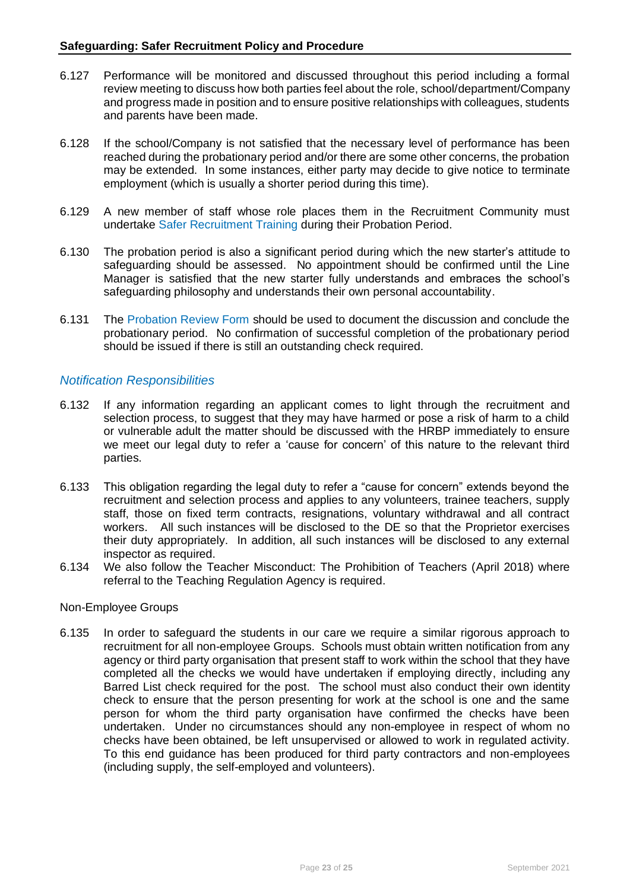- 6.127 Performance will be monitored and discussed throughout this period including a formal review meeting to discuss how both parties feel about the role, school/department/Company and progress made in position and to ensure positive relationships with colleagues, students and parents have been made.
- 6.128 If the school/Company is not satisfied that the necessary level of performance has been reached during the probationary period and/or there are some other concerns, the probation may be extended. In some instances, either party may decide to give notice to terminate employment (which is usually a shorter period during this time).
- 6.129 A new member of staff whose role places them in the Recruitment Community must undertake Safer Recruitment Training during their Probation Period.
- 6.130 The probation period is also a significant period during which the new starter's attitude to safeguarding should be assessed. No appointment should be confirmed until the Line Manager is satisfied that the new starter fully understands and embraces the school's safeguarding philosophy and understands their own personal accountability.
- 6.131 The Probation Review Form should be used to document the discussion and conclude the probationary period. No confirmation of successful completion of the probationary period should be issued if there is still an outstanding check required.

#### *Notification Responsibilities*

- 6.132 If any information regarding an applicant comes to light through the recruitment and selection process, to suggest that they may have harmed or pose a risk of harm to a child or vulnerable adult the matter should be discussed with the HRBP immediately to ensure we meet our legal duty to refer a 'cause for concern' of this nature to the relevant third parties.
- 6.133 This obligation regarding the legal duty to refer a "cause for concern" extends beyond the recruitment and selection process and applies to any volunteers, trainee teachers, supply staff, those on fixed term contracts, resignations, voluntary withdrawal and all contract workers. All such instances will be disclosed to the DE so that the Proprietor exercises their duty appropriately. In addition, all such instances will be disclosed to any external inspector as required.
- 6.134 We also follow the Teacher Misconduct: The Prohibition of Teachers (April 2018) where referral to the Teaching Regulation Agency is required.

#### Non-Employee Groups

6.135 In order to safeguard the students in our care we require a similar rigorous approach to recruitment for all non-employee Groups. Schools must obtain written notification from any agency or third party organisation that present staff to work within the school that they have completed all the checks we would have undertaken if employing directly, including any Barred List check required for the post. The school must also conduct their own identity check to ensure that the person presenting for work at the school is one and the same person for whom the third party organisation have confirmed the checks have been undertaken. Under no circumstances should any non-employee in respect of whom no checks have been obtained, be left unsupervised or allowed to work in regulated activity. To this end guidance has been produced for third party contractors and non-employees (including supply, the self-employed and volunteers).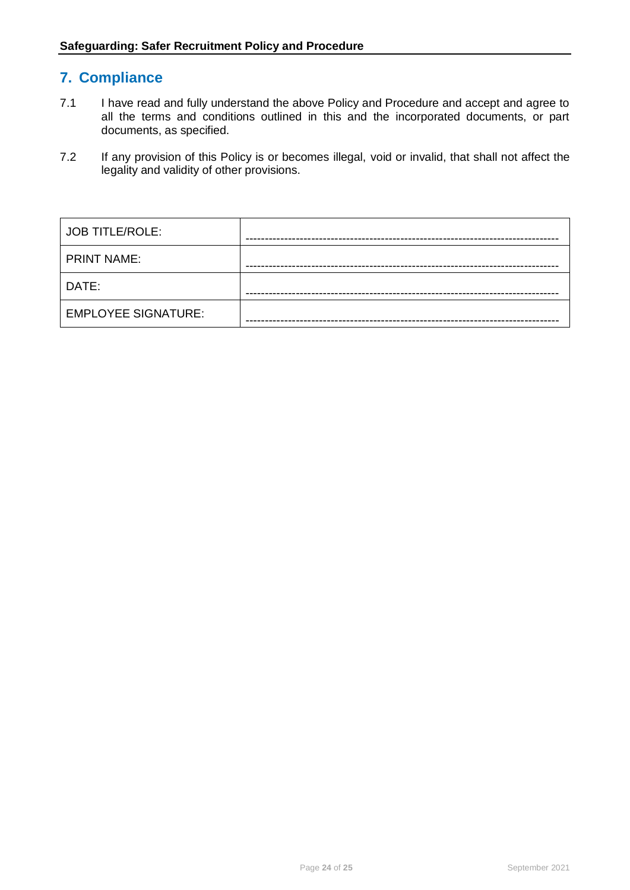# **7. Compliance**

- 7.1 I have read and fully understand the above Policy and Procedure and accept and agree to all the terms and conditions outlined in this and the incorporated documents, or part documents, as specified.
- 7.2 If any provision of this Policy is or becomes illegal, void or invalid, that shall not affect the legality and validity of other provisions.

| <b>JOB TITLE/ROLE:</b>     |  |
|----------------------------|--|
| <b>PRINT NAME:</b>         |  |
| DATE:                      |  |
| <b>EMPLOYEE SIGNATURE:</b> |  |